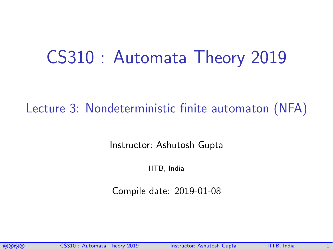# CS310 : Automata Theory 2019

### Lecture 3: Nondeterministic finite automaton (NFA)

Instructor: [Ashutosh Gupta](http://www.cse.iitb.ac.in/~akg/)

IITB, India

Compile date: 2019-01-08

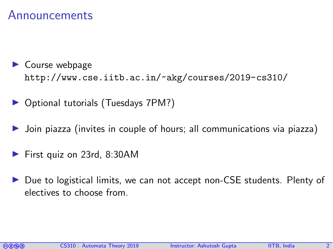#### Announcements

- $\blacktriangleright$  Course webpage <http://www.cse.iitb.ac.in/~akg/courses/2019-cs310/>
- ▶ Optional tutorials (Tuesdays 7PM?)
- Join piazza (invites in couple of hours; all communications via piazza)
- First quiz on 23rd, 8:30AM
- ▶ Due to logistical limits, we can not accept non-CSE students. Plenty of electives to choose from.

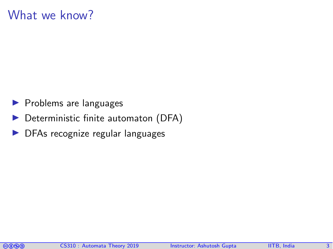#### What we know?

- $\blacktriangleright$  Problems are languages
- $\blacktriangleright$  Deterministic finite automaton (DFA)
- $\triangleright$  DFAs recognize regular languages

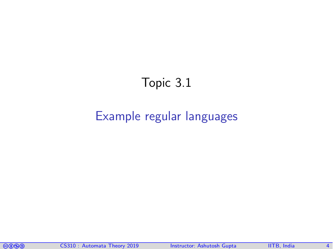## Topic 3.1

#### <span id="page-3-0"></span>[Example regular languages](#page-3-0)

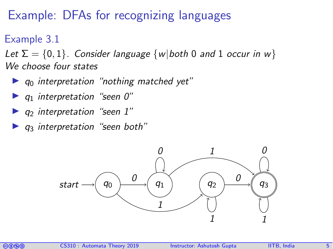## Example: DFAs for recognizing languages

Example 3.1

Let  $\Sigma = \{0, 1\}$ . Consider language  $\{w | both 0 and 1 occur in w\}$ We choose four states

- $\blacktriangleright$  q<sub>0</sub> interpretation "nothing matched yet"
- $\blacktriangleright$  q<sub>1</sub> interpretation "seen 0"
- $\blacktriangleright$  q<sub>2</sub> interpretation "seen 1"
- $\triangleright$   $q_3$  interpretation "seen both"



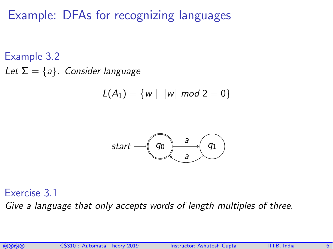## Example: DFAs for recognizing languages

Example 3.2 Let  $\Sigma = \{a\}$ . Consider language

$$
L(A_1) = \{ w \mid |w| \text{ mod } 2 = 0 \}
$$



Exercise 3.1

Give a language that only accepts words of length multiples of three.

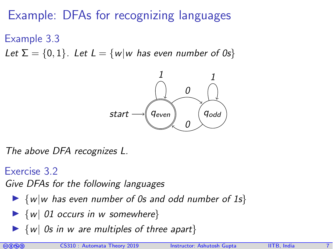## Example: DFAs for recognizing languages

Example 3.3

Let  $\Sigma = \{0, 1\}$ . Let  $L = \{w | w$  has even number of 0s}



The above DFA recognizes L.

Exercise 3.2

Give DFAs for the following languages

- $\blacktriangleright$  {w|w has even number of 0s and odd number of 1s}
- $\blacktriangleright$  {w| 01 occurs in w somewhere}
- $\triangleright$  {w| 0s in w are multiples of three apart}

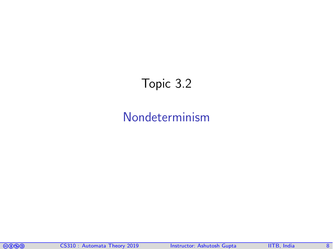## <span id="page-7-0"></span>Topic 3.2

#### [Nondeterminism](#page-7-0)

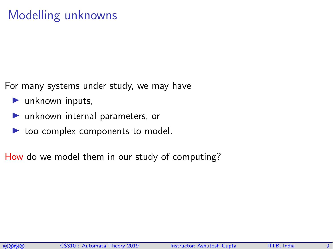## Modelling unknowns

For many systems under study, we may have

- $\blacktriangleright$  unknown inputs,
- $\blacktriangleright$  unknown internal parameters, or
- $\triangleright$  too complex components to model.

How do we model them in our study of computing?

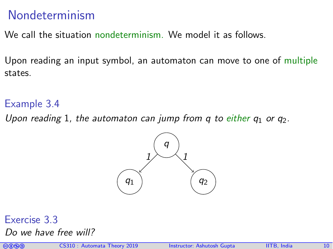#### Nondeterminism

We call the situation nondeterminism. We model it as follows.

Upon reading an input symbol, an automaton can move to one of multiple states.

#### Example 3.4

Upon reading 1, the automaton can jump from q to either  $q_1$  or  $q_2$ .



#### Exercise 3.3

Do we have free will?

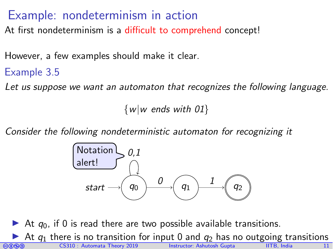#### Example: nondeterminism in action

At first nondeterminism is a difficult to comprehend concept!

However, a few examples should make it clear.

#### Example 3.5

Let us suppose we want an automaton that recognizes the following language.

 $\{w|w \text{ ends with } 01\}$ 

Consider the following nondeterministic automaton for recognizing it



co cos310 : Automata Theory 2019 Instructor: [Ashutosh Gupta](http://www.cse.iitb.ac.in/~akg/) IITB, India 11 At  $q_0$ , if 0 is read there are two possible available transitions. At  $q_1$  there is no transition for input 0 and  $q_2$  has no outgoing transitions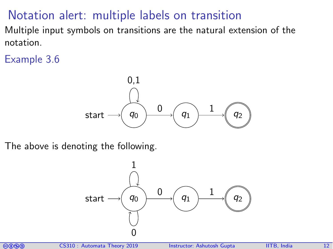## Notation alert: multiple labels on transition

Multiple input symbols on transitions are the natural extension of the notation.

Example 3.6



The above is denoting the following.



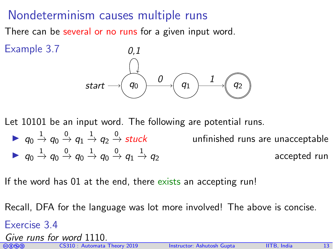#### Nondeterminism causes multiple runs

There can be several or no runs for a given input word.



Let 10101 be an input word. The following are potential runs.

 $\blacktriangleright~~ q_0\stackrel{1}{\rightarrow}q_0\stackrel{0}{\rightarrow}q_1\stackrel{1}{\rightarrow}q_2\stackrel{0}{\rightharpoonup}$ unfinished runs are unacceptable  $\blacktriangleright~~ q_0\stackrel{1}{\rightarrow} q_0\stackrel{0}{\rightarrow} q_0\stackrel{1}{\rightarrow} q_0\stackrel{0}{\rightarrow} q_1\stackrel{1}{\rightarrow}$ accepted run

If the word has 01 at the end, there exists an accepting run!

Recall, DFA for the language was lot more involved! The above is concise.

Exercise 3.4

Give runs for word 1110.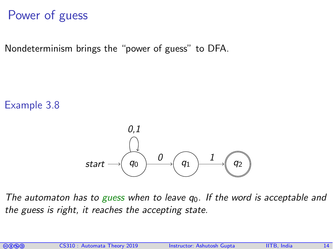## Power of guess

Nondeterminism brings the "power of guess" to DFA.

Example 3.8



The automaton has to guess when to leave  $q_0$ . If the word is acceptable and the guess is right, it reaches the accepting state.

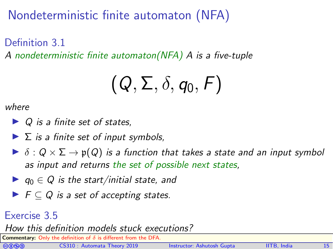## Nondeterministic finite automaton (NFA)

Definition 3.1 A nondeterministic finite automaton(NFA) A is a five-tuple

$$
(\mathcal{Q},\Sigma,\delta,q_0,F)
$$

where

- $\triangleright$  Q is a finite set of states.
- $\blacktriangleright$   $\Sigma$  is a finite set of input symbols,
- $\triangleright$   $\delta$  :  $Q \times \Sigma \rightarrow p(Q)$  is a function that takes a state and an input symbol as input and returns the set of possible next states,
- $\blacktriangleright$   $q_0 \in Q$  is the start/initial state, and
- $\blacktriangleright$   $\vdash$   $\vdash$   $\subset$   $Q$  is a set of accepting states.

#### Exercise 3.5

#### How this definition models stuck executions?

Commentary: Only the definition of  $\delta$  is different from the DFA.

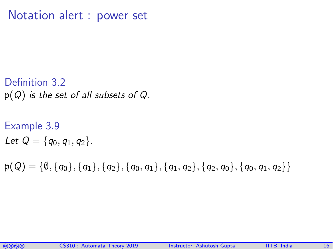Notation alert : power set

- Definition 3.2  $p(Q)$  is the set of all subsets of Q.
- Example 3.9 Let  $Q = \{q_0, q_1, q_2\}.$
- $p(Q) = \{\emptyset, \{q_0\}, \{q_1\}, \{q_2\}, \{q_0, q_1\}, \{q_1, q_2\}, \{q_2, q_0\}, \{q_0, q_1, q_2\}\}\$

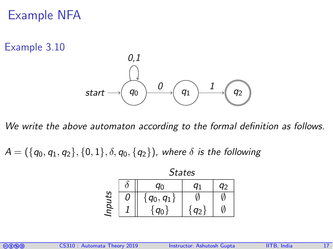#### Example NFA

Example 3.10



We write the above automaton according to the formal definition as follows.

 $A = (\{q_0, q_1, q_2\}, \{0, 1\}, \delta, q_0, \{q_2\})$ , where  $\delta$  is the following



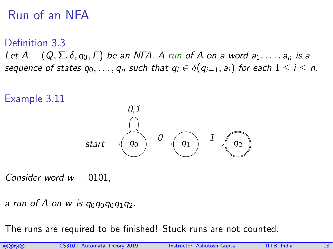## Run of an NFA

Definition 3.3 Let  $A = (Q, \Sigma, \delta, q_0, F)$  be an NFA. A run of A on a word  $a_1, \ldots, a_n$  is a sequence of states  $q_0, \ldots, q_n$  such that  $q_i \in \delta(q_{i-1}, a_i)$  for each  $1 \leq i \leq n$ .



Consider word  $w = 0101$ .

a run of A on w is  $q_0q_0q_0q_1q_2$ .

The runs are required to be finished! Stuck runs are not counted.

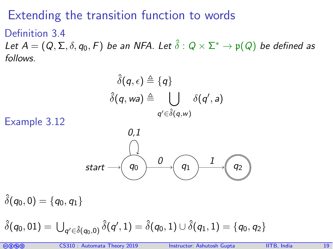### Extending the transition function to words

Definition 3.4 Let  $A=(Q,\Sigma,\delta,q_0,F)$  be an NFA. Let  $\hat\delta:Q\times\Sigma^*\to\mathfrak p(Q)$  be defined as follows.

$$
\hat{\delta}(q,\epsilon) \triangleq \{q\}
$$

$$
\hat{\delta}(q, \omega a) \triangleq \bigcup_{q' \in \hat{\delta}(q, \omega)} \delta(q', a)
$$

Example 3.12



 $\delta(q_0, 0) = \{q_0, q_1\}$ 

 $\hat{\delta}(q_0,01)=\bigcup_{q'\in \hat{\delta}(q_0,0)}\hat{\delta}(q',1)=\hat{\delta}(q_0,1)\cup \hat{\delta}(q_1,1)=\{q_0,q_2\}$ 

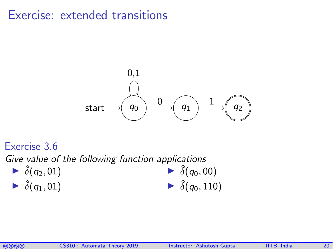#### Exercise: extended transitions



#### Exercise 3.6

Give value of the following function applications

 $\blacktriangleright \hat{\delta}(q_2,01) =$  $\blacktriangleright \hat{\delta}(q_1, 01) =$  $\delta(q_0, 00) =$  $\hat{\delta}(q_0, 110) =$ 

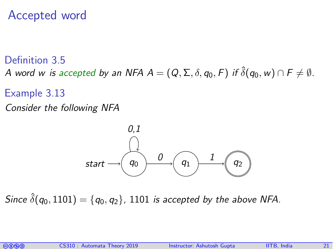#### Accepted word

#### Definition 3.5 A word w is accepted by an NFA  $A=(Q,\Sigma,\delta,q_0,F)$  if  $\hat{\delta}(q_0,w)\cap F\neq\emptyset.$

#### Example 3.13

Consider the following NFA



Since  $\hat{\delta}(q_0, 1101) = \{q_0, q_2\}$ , 1101 is accepted by the above NFA.

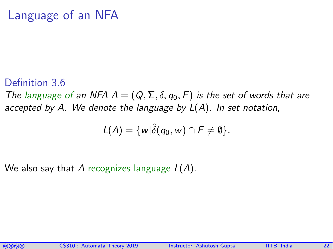#### Language of an NFA

#### Definition 3.6

The language of an NFA  $A = (Q, \Sigma, \delta, q_0, F)$  is the set of words that are accepted by A. We denote the language by  $L(A)$ . In set notation,

$$
L(A) = \{w|\hat{\delta}(q_0, w) \cap F \neq \emptyset\}.
$$

We also say that A recognizes language  $L(A)$ .

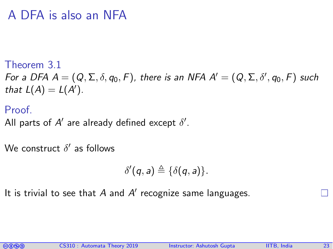#### A DFA is also an NFA

Theorem 3.1

For a DFA  $A=(Q,\Sigma,\delta,q_0,F)$ , there is an NFA  $A'=(Q,\Sigma,\delta',q_0,F)$  such that  $L(A) = L(A')$ .

Proof.

All parts of  $A'$  are already defined except  $\delta'.$ 

We construct  $\delta'$  as follows

$$
\delta'(q, a) \triangleq \{ \delta(q, a) \}.
$$

It is trivial to see that  $A$  and  $A'$  recognize same languages.

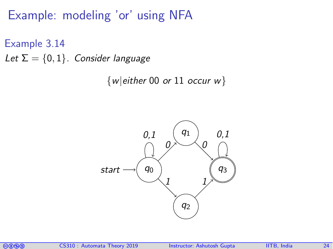Example: modeling 'or' using NFA

Example 3.14 Let  $\Sigma = \{0,1\}$ . Consider language

 $\{w|$ either 00 or 11 occur w $\}$ 



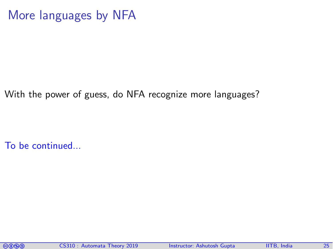#### More languages by NFA

With the power of guess, do NFA recognize more languages?

To be continued...